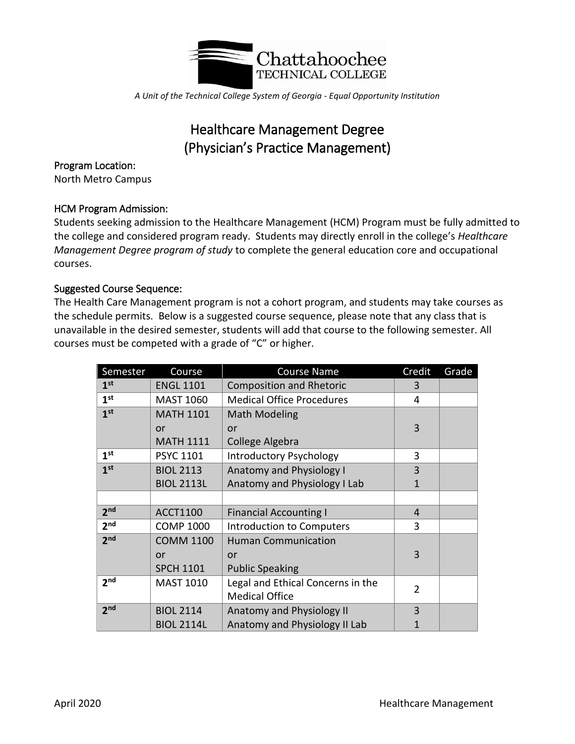

*A Unit of the Technical College System of Georgia - Equal Opportunity Institution*

# Healthcare Management Degree (Physician's Practice Management)

Program Location: North Metro Campus

## HCM Program Admission:

Students seeking admission to the Healthcare Management (HCM) Program must be fully admitted to the college and considered program ready. Students may directly enroll in the college's *Healthcare Management Degree program of study* to complete the general education core and occupational courses.

## Suggested Course Sequence:

The Health Care Management program is not a cohort program, and students may take courses as the schedule permits. Below is a suggested course sequence, please note that any class that is unavailable in the desired semester, students will add that course to the following semester. All courses must be competed with a grade of "C" or higher.

| Semester        | Course            | <b>Course Name</b>                | Credit         | Grade |
|-----------------|-------------------|-----------------------------------|----------------|-------|
| 1 <sup>st</sup> | <b>ENGL 1101</b>  | <b>Composition and Rhetoric</b>   | 3              |       |
| 1 <sup>st</sup> | <b>MAST 1060</b>  | <b>Medical Office Procedures</b>  | 4              |       |
| 1 <sup>st</sup> | <b>MATH 1101</b>  | <b>Math Modeling</b>              |                |       |
|                 | or                | or                                | 3              |       |
|                 | <b>MATH 1111</b>  | College Algebra                   |                |       |
| 1 <sup>st</sup> | <b>PSYC 1101</b>  | <b>Introductory Psychology</b>    | 3              |       |
| 1 <sup>st</sup> | <b>BIOL 2113</b>  | Anatomy and Physiology I          | 3              |       |
|                 | <b>BIOL 2113L</b> | Anatomy and Physiology I Lab      | $\mathbf{1}$   |       |
|                 |                   |                                   |                |       |
| 2 <sub>nd</sub> | <b>ACCT1100</b>   | <b>Financial Accounting I</b>     | 4              |       |
| 2 <sub>nd</sub> | <b>COMP 1000</b>  | Introduction to Computers         | 3              |       |
| 2 <sub>nd</sub> | <b>COMM 1100</b>  | <b>Human Communication</b>        |                |       |
|                 | or                | or                                | 3              |       |
|                 | <b>SPCH 1101</b>  | <b>Public Speaking</b>            |                |       |
| 2 <sub>nd</sub> | <b>MAST 1010</b>  | Legal and Ethical Concerns in the | $\overline{2}$ |       |
|                 |                   | <b>Medical Office</b>             |                |       |
| 2 <sub>nd</sub> | <b>BIOL 2114</b>  | Anatomy and Physiology II         | 3              |       |
|                 | <b>BIOL 2114L</b> | Anatomy and Physiology II Lab     | 1              |       |